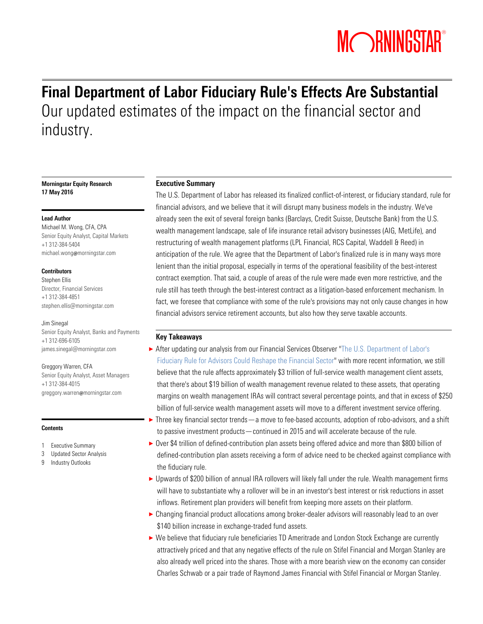# MORNINGSTAR®

# Final Department of Labor Fiduciary Rule's Effects Are Substantial Our updated estimates of the impact on the financial sector and industry.

#### Morningstar Equity Research 17 May 2016

#### Lead Author

Michael M. Wong, CFA, CPA Senior Equity Analyst, Capital Markets +1 312-384-5404 michael.wong@[morningstar.com](mailto:michael.wong@morningstar.com)

#### **Contributors**

Stephen Ellis Director, Financial Services +1 312-384-4851 [stephen.ellis@morningstar.com](mailto:stephen.ellis@morningstar.com)

Jim Sinegal Senior Equity Analyst, Banks and Payments +1 312-696-6105 [james.sinegal@morningstar.com](mailto:stephen.ellis@morningstar.com)

Greggory Warren, CFA Senior Equity Analyst, Asset Managers +1 312-384-4015 greggory.warren@[morningstar.com](mailto:greggory.warren@morningstar.com)

#### **Contents**

- 1 Executive Summary
- 3 Updated Sector Analysis
- 9 Industry Outlooks

#### Executive Summary

The U.S. Department of Labor has released its finalized conflict-of-interest, or fiduciary standard, rule for financial advisors, and we believe that it will disrupt many business models in the industry. We've already seen the exit of several foreign banks (Barclays, Credit Suisse, Deutsche Bank) from the U.S. wealth management landscape, sale of life insurance retail advisory businesses (AIG, MetLife), and restructuring of wealth management platforms (LPL Financial, RCS Capital, Waddell & Reed) in anticipation of the rule. We agree that the Department of Labor's finalized rule is in many ways more lenient than the initial proposal, especially in terms of the operational feasibility of the best-interest contract exemption. That said, a couple of areas of the rule were made even more restrictive, and the rule still has teeth through the best-interest contract as a litigation-based enforcement mechanism. In fact, we foresee that compliance with some of the rule's provisions may not only cause changes in how financial advisors service retirement accounts, but also how they serve taxable accounts.

#### Key Takeaways

- ► After updating our analysis from our Financial Services Observer "The U.S. Department of Labor's [Fiduciary Rule for Advisors Could Reshape the Financial Sector"](http://select.morningstar.com/downloadarchive.aspx?year=2015&docid=720414&secid=&companyid=&title=Financial+Services+Observer%3a+The+U_S_+Department+of+Labor%27s+Fiduciary+Rule+for+Advisors+Could+Reshape+the+Financial+Sector) with more recent information, we still believe that the rule affects approximately \$3 trillion of full-service wealth management client assets, that there's about \$19 billion of wealth management revenue related to these assets, that operating margins on wealth management IRAs will contract several percentage points, and that in excess of \$250 billion of full-service wealth management assets will move to a different investment service offering.
- × Three key financial sector trends—a move to fee-based accounts, adoption of robo-advisors, and a shift to passive investment products—continued in 2015 and will accelerate because of the rule.
- ► Over \$4 trillion of defined-contribution plan assets being offered advice and more than \$800 billion of defined-contribution plan assets receiving a form of advice need to be checked against compliance with the fiduciary rule.
- ► Upwards of \$200 billion of annual IRA rollovers will likely fall under the rule. Wealth management firms will have to substantiate why a rollover will be in an investor's best interest or risk reductions in asset inflows. Retirement plan providers will benefit from keeping more assets on their platform.
- ► Changing financial product allocations among broker-dealer advisors will reasonably lead to an over \$140 billion increase in exchange-traded fund assets.
- ► We believe that fiduciary rule beneficiaries TD Ameritrade and London Stock Exchange are currently attractively priced and that any negative effects of the rule on Stifel Financial and Morgan Stanley are also already well priced into the shares. Those with a more bearish view on the economy can consider Charles Schwab or a pair trade of Raymond James Financial with Stifel Financial or Morgan Stanley.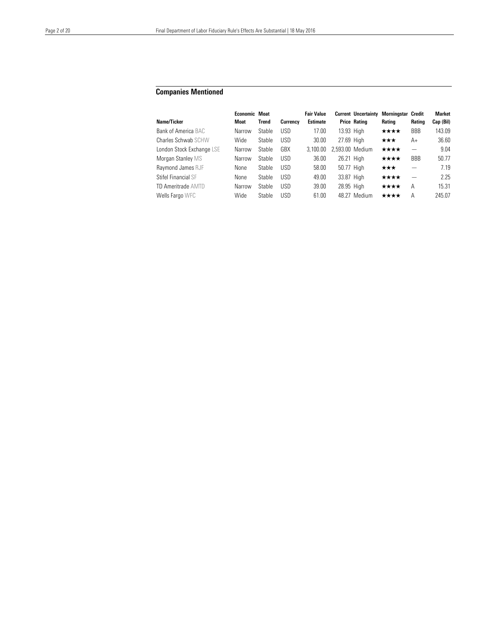## Companies Mentioned

|                           | Economic Moat |        |            | <b>Fair Value</b> |            | <b>Current Uncertainty</b> | <b>Morninastar Credit</b> |                          | <b>Market</b> |
|---------------------------|---------------|--------|------------|-------------------|------------|----------------------------|---------------------------|--------------------------|---------------|
| Name/Ticker               | Moat          | Trend  | Currency   | <b>Estimate</b>   |            | <b>Price Rating</b>        | Rating                    | Rating                   | Cap (Bil)     |
| Bank of America BAC       | Narrow        | Stable | <b>USD</b> | 17.00             | 13.93 High |                            | ★★★★                      | <b>BBB</b>               | 143.09        |
| Charles Schwab SCHW       | Wide          | Stable | <b>USD</b> | 30.00             | 27.69 High |                            | ★★★                       | A+                       | 36.60         |
| London Stock Exchange LSE | Narrow        | Stable | GBX        | 3.100.00          |            | 2.593.00 Medium            | ★★★★                      | $\overline{\phantom{0}}$ | 9.04          |
| Morgan Stanley MS         | Narrow        | Stable | <b>USD</b> | 36.00             | 26.21 High |                            | ★★★★                      | <b>BBB</b>               | 50.77         |
| Raymond James RJF         | None          | Stable | <b>USD</b> | 58.00             | 50.77 High |                            | ★★★                       |                          | 7.19          |
| Stifel Financial SF       | None          | Stable | <b>USD</b> | 49.00             | 33.87 High |                            | ★★★★                      |                          | 2.25          |
| TD Ameritrade AMTD        | Narrow        | Stable | <b>USD</b> | 39.00             | 28.95 High |                            | ★★★★                      | Α                        | 15.31         |
| Wells Fargo WFC           | Wide          | Stable | USD.       | 61.00             |            | 48.27 Medium               | ****                      | А                        | 245.07        |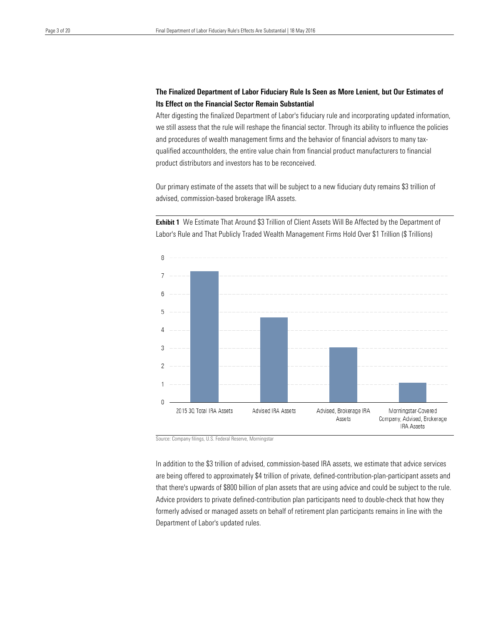### The Finalized Department of Labor Fiduciary Rule Is Seen as More Lenient, but Our Estimates of Its Effect on the Financial Sector Remain Substantial

After digesting the finalized Department of Labor's fiduciary rule and incorporating updated information, we still assess that the rule will reshape the financial sector. Through its ability to influence the policies and procedures of wealth management firms and the behavior of financial advisors to many taxqualified accountholders, the entire value chain from financial product manufacturers to financial product distributors and investors has to be reconceived.

Our primary estimate of the assets that will be subject to a new fiduciary duty remains \$3 trillion of advised, commission-based brokerage IRA assets.

**Exhibit 1** We Estimate That Around \$3 Trillion of Client Assets Will Be Affected by the Department of Labor's Rule and That Publicly Traded Wealth Management Firms Hold Over \$1 Trillion (\$ Trillions)



Source: Company filings, U.S. Federal Reserve, Morningstar

In addition to the \$3 trillion of advised, commission-based IRA assets, we estimate that advice services are being offered to approximately \$4 trillion of private, defined-contribution-plan-participant assets and that there's upwards of \$800 billion of plan assets that are using advice and could be subject to the rule. Advice providers to private defined-contribution plan participants need to double-check that how they formerly advised or managed assets on behalf of retirement plan participants remains in line with the Department of Labor's updated rules.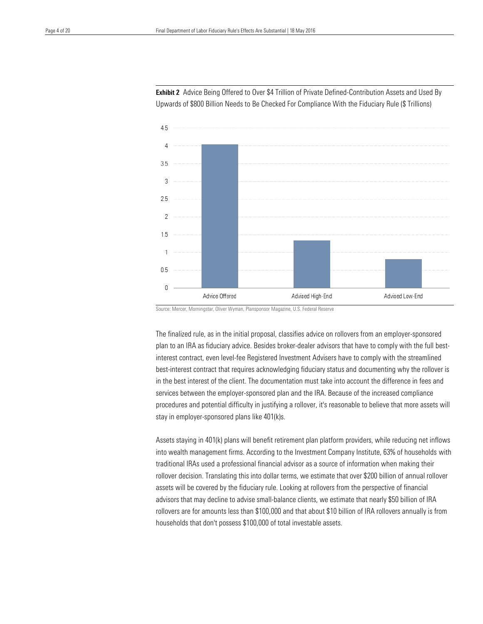Healthcare Observer | 18 May 2016





Source: Mercer, Morningstar, Oliver Wyman, Plansponsor Magazine, U.S. Federal Reserve

The finalized rule, as in the initial proposal, classifies advice on rollovers from an employer-sponsored plan to an IRA as fiduciary advice. Besides broker-dealer advisors that have to comply with the full bestinterest contract, even level-fee Registered Investment Advisers have to comply with the streamlined best-interest contract that requires acknowledging fiduciary status and documenting why the rollover is in the best interest of the client. The documentation must take into account the difference in fees and services between the employer-sponsored plan and the IRA. Because of the increased compliance procedures and potential difficulty in justifying a rollover, it's reasonable to believe that more assets will stay in employer-sponsored plans like 401(k)s.

Assets staying in 401(k) plans will benefit retirement plan platform providers, while reducing net inflows into wealth management firms. According to the Investment Company Institute, 63% of households with traditional IRAs used a professional financial advisor as a source of information when making their rollover decision. Translating this into dollar terms, we estimate that over \$200 billion of annual rollover assets will be covered by the fiduciary rule. Looking at rollovers from the perspective of financial advisors that may decline to advise small-balance clients, we estimate that nearly \$50 billion of IRA rollovers are for amounts less than \$100,000 and that about \$10 billion of IRA rollovers annually is from households that don't possess \$100,000 of total investable assets.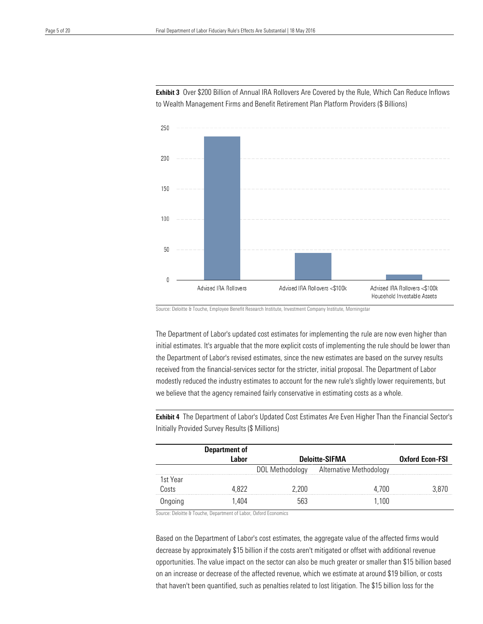Healthcare Observer | 18 May 2016

Exhibit 3 Over \$200 Billion of Annual IRA Rollovers Are Covered by the Rule, Which Can Reduce Inflows to Wealth Management Firms and Benefit Retirement Plan Platform Providers (\$ Billions)



Source: Deloitte & Touche, Employee Benefit Research Institute, Investment Company Institute, Morningstar

The Department of Labor's updated cost estimates for implementing the rule are now even higher than initial estimates. It's arguable that the more explicit costs of implementing the rule should be lower than the Department of Labor's revised estimates, since the new estimates are based on the survey results received from the financial-services sector for the stricter, initial proposal. The Department of Labor modestly reduced the industry estimates to account for the new rule's slightly lower requirements, but we believe that the agency remained fairly conservative in estimating costs as a whole.

Exhibit 4 The Department of Labor's Updated Cost Estimates Are Even Higher Than the Financial Sector's Initially Provided Survey Results (\$ Millions)

|                   | <b>Department of</b> |                 |                                |                        |
|-------------------|----------------------|-----------------|--------------------------------|------------------------|
|                   |                      |                 | <b>Deloitte-SIFMA</b>          | <b>Oxford Econ-FSI</b> |
|                   |                      | DOL Methodology | <b>Alternative Methodology</b> |                        |
| 1st Year<br>Costs |                      |                 |                                |                        |
|                   |                      | -200            | 700                            |                        |
|                   | 404                  | 563             | l.100                          |                        |

Source: Deloitte & Touche, Department of Labor, Oxford Economics

Based on the Department of Labor's cost estimates, the aggregate value of the affected firms would decrease by approximately \$15 billion if the costs aren't mitigated or offset with additional revenue opportunities. The value impact on the sector can also be much greater or smaller than \$15 billion based on an increase or decrease of the affected revenue, which we estimate at around \$19 billion, or costs that haven't been quantified, such as penalties related to lost litigation. The \$15 billion loss for the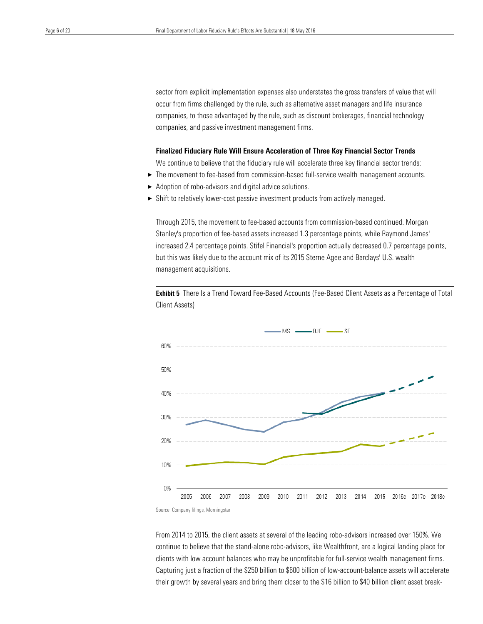sector from explicit implementation expenses also understates the gross transfers of value that will occur from firms challenged by the rule, such as alternative asset managers and life insurance companies, to those advantaged by the rule, such as discount brokerages, financial technology companies, and passive investment management firms.

#### Finalized Fiduciary Rule Will Ensure Acceleration of Three Key Financial Sector Trends

We continue to believe that the fiduciary rule will accelerate three key financial sector trends:

- ► The movement to fee-based from commission-based full-service wealth management accounts.
- ▶ Adoption of robo-advisors and digital advice solutions.
- ▶ Shift to relatively lower-cost passive investment products from actively managed.

Through 2015, the movement to fee-based accounts from commission-based continued. Morgan Stanley's proportion of fee-based assets increased 1.3 percentage points, while Raymond James' increased 2.4 percentage points. Stifel Financial's proportion actually decreased 0.7 percentage points, but this was likely due to the account mix of its 2015 Sterne Agee and Barclays' U.S. wealth management acquisitions.

**Exhibit 5** There Is a Trend Toward Fee-Based Accounts (Fee-Based Client Assets as a Percentage of Total Client Assets)



Source: Company filings, Morningstar

From 2014 to 2015, the client assets at several of the leading robo-advisors increased over 150%. We continue to believe that the stand-alone robo-advisors, like Wealthfront, are a logical landing place for clients with low account balances who may be unprofitable for full-service wealth management firms. Capturing just a fraction of the \$250 billion to \$600 billion of low-account-balance assets will accelerate their growth by several years and bring them closer to the \$16 billion to \$40 billion client asset break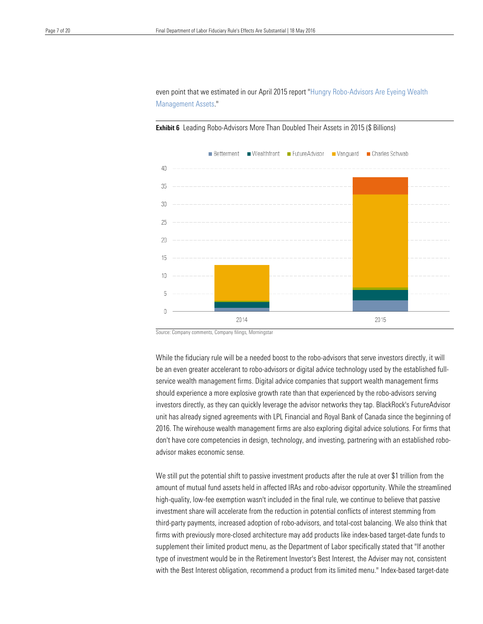even point that we estimated in our April 2015 report ["Hungry Robo-Advisors Are Eyeing Wealth](http://select.morningstar.com/downloadarchive.aspx?year=2015&docid=692135&secid=&companyid=&title=Hungry+Robo-Advisors+Are+Eyeing+Wealth+Management+Assets%3a+We+Believe+Wealth+Management+Moats+Can+Repel+the+Fiber-Clad+Legion)  [Management Assets.](http://select.morningstar.com/downloadarchive.aspx?year=2015&docid=692135&secid=&companyid=&title=Hungry+Robo-Advisors+Are+Eyeing+Wealth+Management+Assets%3a+We+Believe+Wealth+Management+Moats+Can+Repel+the+Fiber-Clad+Legion)"



Exhibit 6 Leading Robo-Advisors More Than Doubled Their Assets in 2015 (\$ Billions)

Source: Company comments, Company filings, Morningstar

While the fiduciary rule will be a needed boost to the robo-advisors that serve investors directly, it will be an even greater accelerant to robo-advisors or digital advice technology used by the established fullservice wealth management firms. Digital advice companies that support wealth management firms should experience a more explosive growth rate than that experienced by the robo-advisors serving investors directly, as they can quickly leverage the advisor networks they tap. BlackRock's FutureAdvisor unit has already signed agreements with LPL Financial and Royal Bank of Canada since the beginning of 2016. The wirehouse wealth management firms are also exploring digital advice solutions. For firms that don't have core competencies in design, technology, and investing, partnering with an established roboadvisor makes economic sense.

We still put the potential shift to passive investment products after the rule at over \$1 trillion from the amount of mutual fund assets held in affected IRAs and robo-advisor opportunity. While the streamlined high-quality, low-fee exemption wasn't included in the final rule, we continue to believe that passive investment share will accelerate from the reduction in potential conflicts of interest stemming from third-party payments, increased adoption of robo-advisors, and total-cost balancing. We also think that firms with previously more-closed architecture may add products like index-based target-date funds to supplement their limited product menu, as the Department of Labor specifically stated that "If another type of investment would be in the Retirement Investor's Best Interest, the Adviser may not, consistent with the Best Interest obligation, recommend a product from its limited menu." Index-based target-date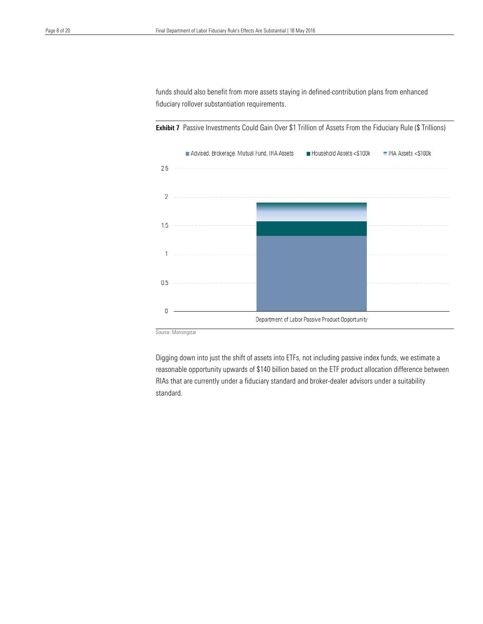funds should also benefit from more assets staying in defined-contribution plans from enhanced fiduciary rollover substantiation requirements.



Exhibit 7 Passive Investments Could Gain Over \$1 Trillion of Assets From the Fiduciary Rule (\$ Trillions)

Source: Morningstar

Digging down into just the shift of assets into ETFs, not including passive index funds, we estimate a reasonable opportunity upwards of \$140 billion based on the ETF product allocation difference between RIAs that are currently under a fiduciary standard and broker-dealer advisors under a suitability standard.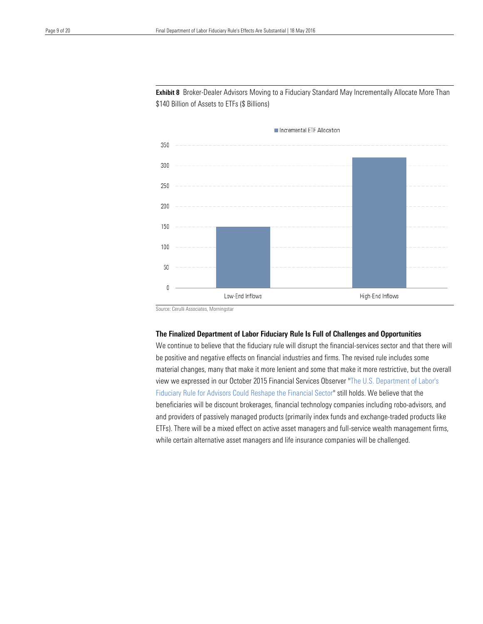**Exhibit 8** Broker-Dealer Advisors Moving to a Fiduciary Standard May Incrementally Allocate More Than \$140 Billion of Assets to ETFs (\$ Billions)



Incremental ETF Allocation

Source: Cerulli Associates, Morningstar

Healthcare Observer | 18 May 2016

#### The Finalized Department of Labor Fiduciary Rule Is Full of Challenges and Opportunities

We continue to believe that the fiduciary rule will disrupt the financial-services sector and that there will be positive and negative effects on financial industries and firms. The revised rule includes some material changes, many that make it more lenient and some that make it more restrictive, but the overall view we expressed in our October 2015 Financial Services Observer ["The U.S. Department of Labor's](http://select.morningstar.com/downloadarchive.aspx?year=2015&docid=720414&secid=&companyid=&title=Financial+Services+Observer%3a+The+U_S_+Department+of+Labor%27s+Fiduciary+Rule+for+Advisors+Could+Reshape+the+Financial+Sector)  [Fiduciary Rule for Advisors Could Reshape the Financial Sector"](http://select.morningstar.com/downloadarchive.aspx?year=2015&docid=720414&secid=&companyid=&title=Financial+Services+Observer%3a+The+U_S_+Department+of+Labor%27s+Fiduciary+Rule+for+Advisors+Could+Reshape+the+Financial+Sector) still holds. We believe that the beneficiaries will be discount brokerages, financial technology companies including robo-advisors, and and providers of passively managed products (primarily index funds and exchange-traded products like ETFs). There will be a mixed effect on active asset managers and full-service wealth management firms, while certain alternative asset managers and life insurance companies will be challenged.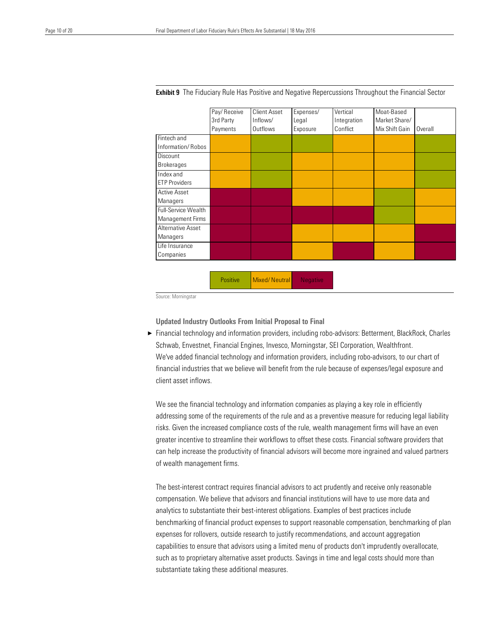Healthcare Observer | 18 May 2016

|                      | Pay/Receive | Client Asset | Expenses/ | Vertical    | Moat-Based     |         |
|----------------------|-------------|--------------|-----------|-------------|----------------|---------|
|                      | 3rd Party   | Inflows/     | Legal     | Integration | Market Share/  |         |
|                      | Payments    | Outflows     | Exposure  | Conflict    | Mix Shift Gain | Overall |
| Fintech and          |             |              |           |             |                |         |
| Information/Robos    |             |              |           |             |                |         |
| Discount             |             |              |           |             |                |         |
| <b>Brokerages</b>    |             |              |           |             |                |         |
| Index and            |             |              |           |             |                |         |
| <b>ETP Providers</b> |             |              |           |             |                |         |
| <b>Active Asset</b>  |             |              |           |             |                |         |
| Managers             |             |              |           |             |                |         |
| Full-Service Wealth  |             |              |           |             |                |         |
| Management Firms     |             |              |           |             |                |         |
| Alternative Asset    |             |              |           |             |                |         |
| Managers             |             |              |           |             |                |         |
| Life Insurance       |             |              |           |             |                |         |
| Companies            |             |              |           |             |                |         |

**Exhibit 9** The Fiduciary Rule Has Positive and Negative Repercussions Throughout the Financial Sector

Source: Morningstar

Updated Industry Outlooks From Initial Proposal to Final

Positive | Mixed/ Neutral | Negative

► Financial technology and information providers, including robo-advisors: Betterment, BlackRock, Charles Schwab, Envestnet, Financial Engines, Invesco, Morningstar, SEI Corporation, Wealthfront. We've added financial technology and information providers, including robo-advisors, to our chart of financial industries that we believe will benefit from the rule because of expenses/legal exposure and client asset inflows.

We see the financial technology and information companies as playing a key role in efficiently addressing some of the requirements of the rule and as a preventive measure for reducing legal liability risks. Given the increased compliance costs of the rule, wealth management firms will have an even greater incentive to streamline their workflows to offset these costs. Financial software providers that can help increase the productivity of financial advisors will become more ingrained and valued partners of wealth management firms.

The best-interest contract requires financial advisors to act prudently and receive only reasonable compensation. We believe that advisors and financial institutions will have to use more data and analytics to substantiate their best-interest obligations. Examples of best practices include benchmarking of financial product expenses to support reasonable compensation, benchmarking of plan expenses for rollovers, outside research to justify recommendations, and account aggregation capabilities to ensure that advisors using a limited menu of products don't imprudently overallocate, such as to proprietary alternative asset products. Savings in time and legal costs should more than substantiate taking these additional measures.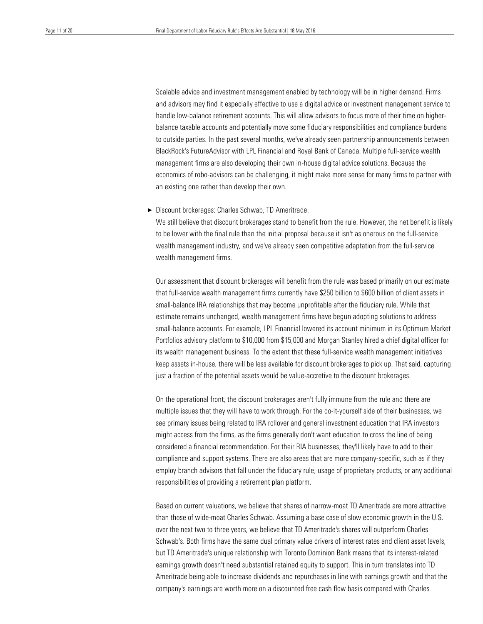Scalable advice and investment management enabled by technology will be in higher demand. Firms and advisors may find it especially effective to use a digital advice or investment management service to handle low-balance retirement accounts. This will allow advisors to focus more of their time on higherbalance taxable accounts and potentially move some fiduciary responsibilities and compliance burdens to outside parties. In the past several months, we've already seen partnership announcements between BlackRock's FutureAdvisor with LPL Financial and Royal Bank of Canada. Multiple full-service wealth management firms are also developing their own in-house digital advice solutions. Because the economics of robo-advisors can be challenging, it might make more sense for many firms to partner with an existing one rather than develop their own.

▶ Discount brokerages: Charles Schwab, TD Ameritrade.

We still believe that discount brokerages stand to benefit from the rule. However, the net benefit is likely to be lower with the final rule than the initial proposal because it isn't as onerous on the full-service wealth management industry, and we've already seen competitive adaptation from the full-service wealth management firms.

Our assessment that discount brokerages will benefit from the rule was based primarily on our estimate that full-service wealth management firms currently have \$250 billion to \$600 billion of client assets in small-balance IRA relationships that may become unprofitable after the fiduciary rule. While that estimate remains unchanged, wealth management firms have begun adopting solutions to address small-balance accounts. For example, LPL Financial lowered its account minimum in its Optimum Market Portfolios advisory platform to \$10,000 from \$15,000 and Morgan Stanley hired a chief digital officer for its wealth management business. To the extent that these full-service wealth management initiatives keep assets in-house, there will be less available for discount brokerages to pick up. That said, capturing just a fraction of the potential assets would be value-accretive to the discount brokerages.

On the operational front, the discount brokerages aren't fully immune from the rule and there are multiple issues that they will have to work through. For the do-it-yourself side of their businesses, we see primary issues being related to IRA rollover and general investment education that IRA investors might access from the firms, as the firms generally don't want education to cross the line of being considered a financial recommendation. For their RIA businesses, they'll likely have to add to their compliance and support systems. There are also areas that are more company-specific, such as if they employ branch advisors that fall under the fiduciary rule, usage of proprietary products, or any additional responsibilities of providing a retirement plan platform.

Based on current valuations, we believe that shares of narrow-moat TD Ameritrade are more attractive than those of wide-moat Charles Schwab. Assuming a base case of slow economic growth in the U.S. over the next two to three years, we believe that TD Ameritrade's shares will outperform Charles Schwab's. Both firms have the same dual primary value drivers of interest rates and client asset levels, but TD Ameritrade's unique relationship with Toronto Dominion Bank means that its interest-related earnings growth doesn't need substantial retained equity to support. This in turn translates into TD Ameritrade being able to increase dividends and repurchases in line with earnings growth and that the company's earnings are worth more on a discounted free cash flow basis compared with Charles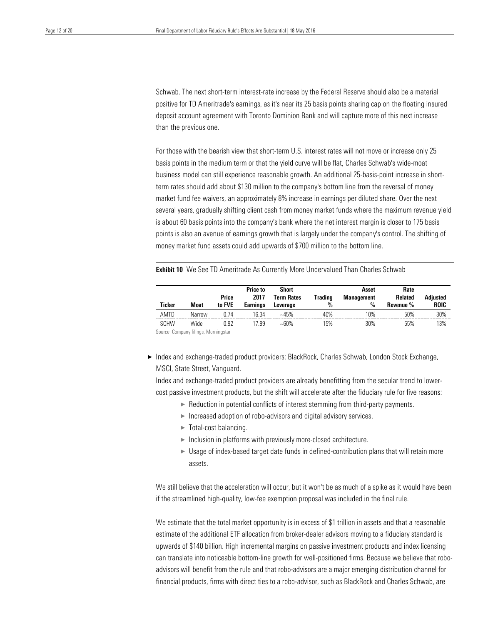Schwab. The next short-term interest-rate increase by the Federal Reserve should also be a material positive for TD Ameritrade's earnings, as it's near its 25 basis points sharing cap on the floating insured deposit account agreement with Toronto Dominion Bank and will capture more of this next increase than the previous one.

For those with the bearish view that short-term U.S. interest rates will not move or increase only 25 basis points in the medium term or that the yield curve will be flat, Charles Schwab's wide-moat business model can still experience reasonable growth. An additional 25-basis-point increase in shortterm rates should add about \$130 million to the company's bottom line from the reversal of money market fund fee waivers, an approximately 8% increase in earnings per diluted share. Over the next several years, gradually shifting client cash from money market funds where the maximum revenue yield is about 60 basis points into the company's bank where the net interest margin is closer to 175 basis points is also an avenue of earnings growth that is largely under the company's control. The shifting of money market fund assets could add upwards of \$700 million to the bottom line.

**Exhibit 10** We See TD Ameritrade As Currently More Undervalued Than Charles Schwab

| Ticker      | Moat   | Price<br>to FVE | Price to<br>2017<br><b>Earnings</b> | Short<br>Term Rates<br>Leverage | Trading<br>$\%$ | Asset<br><b>Management</b><br>$\%$ | Rate<br><b>Related</b><br>Revenue % | <b>Adjusted</b><br><b>ROIC</b> |
|-------------|--------|-----------------|-------------------------------------|---------------------------------|-----------------|------------------------------------|-------------------------------------|--------------------------------|
| AMTD        | Narrow | በ 74            | 16.34                               | ~15%                            | 40%             | 10%                                | 50%                                 | 30%                            |
| <b>SCHW</b> | Wide   | 0.92            | 7.99                                | $~160\%$                        | 15%             | 30%                                | 55%                                 | 13%                            |

Source: Company filings, Morningstar

► Index and exchange-traded product providers: BlackRock, Charles Schwab, London Stock Exchange, MSCI, State Street, Vanguard.

Index and exchange-traded product providers are already benefitting from the secular trend to lowercost passive investment products, but the shift will accelerate after the fiduciary rule for five reasons:

- $\blacktriangleright$  Reduction in potential conflicts of interest stemming from third-party payments.
- $\blacktriangleright$  Increased adoption of robo-advisors and digital advisory services.
- $\blacktriangleright$  Total-cost balancing.
- $\blacktriangleright$  Inclusion in platforms with previously more-closed architecture.
- $\triangleright$  Usage of index-based target date funds in defined-contribution plans that will retain more assets.

We still believe that the acceleration will occur, but it won't be as much of a spike as it would have been if the streamlined high-quality, low-fee exemption proposal was included in the final rule.

We estimate that the total market opportunity is in excess of \$1 trillion in assets and that a reasonable estimate of the additional ETF allocation from broker-dealer advisors moving to a fiduciary standard is upwards of \$140 billion. High incremental margins on passive investment products and index licensing can translate into noticeable bottom-line growth for well-positioned firms. Because we believe that roboadvisors will benefit from the rule and that robo-advisors are a major emerging distribution channel for financial products, firms with direct ties to a robo-advisor, such as BlackRock and Charles Schwab, are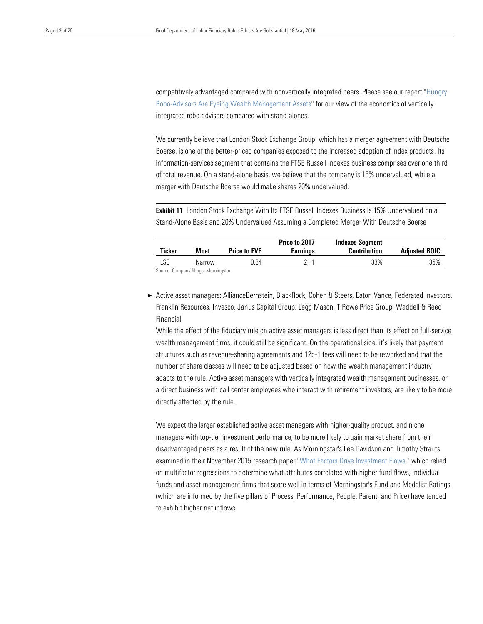competitively advantaged compared with nonvertically integrated peers. Please see our report ["Hungry](http://select.morningstar.com/downloadarchive.aspx?year=2015&docid=692135&secid=&companyid=&title=Hungry+Robo-Advisors+Are+Eyeing+Wealth+Management+Assets%3a+We+Believe+Wealth+Management+Moats+Can+Repel+the+Fiber-Clad+Legion)  [Robo-Advisors Are Eyeing Wealth Management Assets"](http://select.morningstar.com/downloadarchive.aspx?year=2015&docid=692135&secid=&companyid=&title=Hungry+Robo-Advisors+Are+Eyeing+Wealth+Management+Assets%3a+We+Believe+Wealth+Management+Moats+Can+Repel+the+Fiber-Clad+Legion) for our view of the economics of vertically integrated robo-advisors compared with stand-alones.

We currently believe that London Stock Exchange Group, which has a merger agreement with Deutsche Boerse, is one of the better-priced companies exposed to the increased adoption of index products. Its information-services segment that contains the FTSE Russell indexes business comprises over one third of total revenue. On a stand-alone basis, we believe that the company is 15% undervalued, while a merger with Deutsche Boerse would make shares 20% undervalued.

Exhibit 11 London Stock Exchange With Its FTSE Russell Indexes Business Is 15% Undervalued on a Stand-Alone Basis and 20% Undervalued Assuming a Completed Merger With Deutsche Boerse

| Ticker<br>Moat<br><b>Price to FVE</b><br><b>Earnings</b> | <b>Contribution</b> | <b>Adjusted ROIC</b> |
|----------------------------------------------------------|---------------------|----------------------|
| lse<br>21.1<br>0.84<br>Narrow                            | 33%                 | 35%                  |

Source: Company filings, Morningstar

► Active asset managers: AllianceBernstein, BlackRock, Cohen & Steers, Eaton Vance, Federated Investors, Franklin Resources, Invesco, Janus Capital Group, Legg Mason, T.Rowe Price Group, Waddell & Reed Financial.

While the effect of the fiduciary rule on active asset managers is less direct than its effect on full-service wealth management firms, it could still be significant. On the operational side, it's likely that payment structures such as revenue-sharing agreements and 12b-1 fees will need to be reworked and that the number of share classes will need to be adjusted based on how the wealth management industry adapts to the rule. Active asset managers with vertically integrated wealth management businesses, or a direct business with call center employees who interact with retirement investors, are likely to be more directly affected by the rule.

We expect the larger established active asset managers with higher-quality product, and niche managers with top-tier investment performance, to be more likely to gain market share from their disadvantaged peers as a result of the new rule. As Morningstar's Lee Davidson and Timothy Strauts examined in their November 2015 research paper ["What Factors Drive Investment Flows,](http://corporate1.morningstar.com/ResearchArticle.aspx?documentId=721116)" which relied on multifactor regressions to determine what attributes correlated with higher fund flows, individual funds and asset-management firms that score well in terms of Morningstar's Fund and Medalist Ratings (which are informed by the five pillars of Process, Performance, People, Parent, and Price) have tended to exhibit higher net inflows.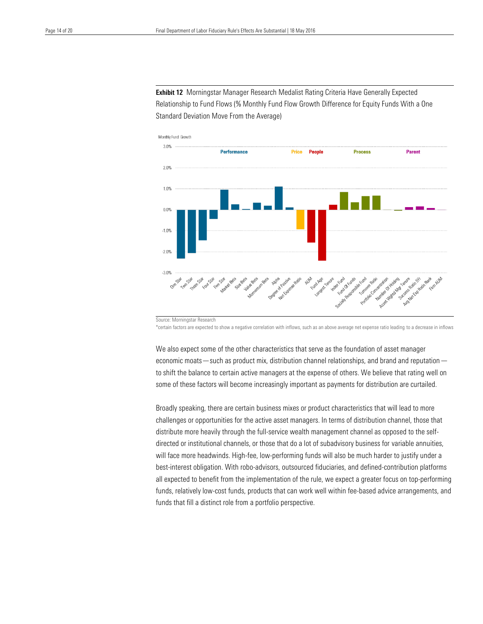Exhibit 12 Morningstar Manager Research Medalist Rating Criteria Have Generally Expected Relationship to Fund Flows (% Monthly Fund Flow Growth Difference for Equity Funds With a One Standard Deviation Move From the Average)



Source: Morningstar Research

Healthcare Observer | 18 May 2016

\*certain factors are expected to show a negative correlation with inflows, such as an above average net expense ratio leading to a decrease in inflows

We also expect some of the other characteristics that serve as the foundation of asset manager economic moats—such as product mix, distribution channel relationships, and brand and reputation to shift the balance to certain active managers at the expense of others. We believe that rating well on some of these factors will become increasingly important as payments for distribution are curtailed.

Broadly speaking, there are certain business mixes or product characteristics that will lead to more challenges or opportunities for the active asset managers. In terms of distribution channel, those that distribute more heavily through the full-service wealth management channel as opposed to the selfdirected or institutional channels, or those that do a lot of subadvisory business for variable annuities, will face more headwinds. High-fee, low-performing funds will also be much harder to justify under a best-interest obligation. With robo-advisors, outsourced fiduciaries, and defined-contribution platforms all expected to benefit from the implementation of the rule, we expect a greater focus on top-performing funds, relatively low-cost funds, products that can work well within fee-based advice arrangements, and funds that fill a distinct role from a portfolio perspective.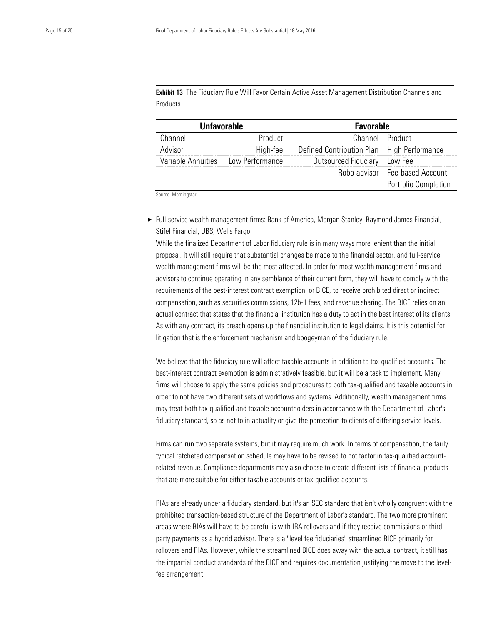**Exhibit 13** The Fiduciary Rule Will Favor Certain Active Asset Management Distribution Channels and Products

| Product                            | Channel Product              |                                            |
|------------------------------------|------------------------------|--------------------------------------------|
| High-fee                           |                              |                                            |
| Variable Annuities Low Performance | Outsourced Fiduciary Low Fee |                                            |
|                                    |                              | Robo-advisor Fee-based Account             |
|                                    |                              | Portfolio Completion                       |
|                                    |                              | Defined Contribution Plan High Performance |

Source: Morningstar

Healthcare Observer | 18 May 2016

► Full-service wealth management firms: Bank of America, Morgan Stanley, Raymond James Financial, Stifel Financial, UBS, Wells Fargo.

While the finalized Department of Labor fiduciary rule is in many ways more lenient than the initial proposal, it will still require that substantial changes be made to the financial sector, and full-service wealth management firms will be the most affected. In order for most wealth management firms and advisors to continue operating in any semblance of their current form, they will have to comply with the requirements of the best-interest contract exemption, or BICE, to receive prohibited direct or indirect compensation, such as securities commissions, 12b-1 fees, and revenue sharing. The BICE relies on an actual contract that states that the financial institution has a duty to act in the best interest of its clients. As with any contract, its breach opens up the financial institution to legal claims. It is this potential for litigation that is the enforcement mechanism and boogeyman of the fiduciary rule.

We believe that the fiduciary rule will affect taxable accounts in addition to tax-qualified accounts. The best-interest contract exemption is administratively feasible, but it will be a task to implement. Many firms will choose to apply the same policies and procedures to both tax-qualified and taxable accounts in order to not have two different sets of workflows and systems. Additionally, wealth management firms may treat both tax-qualified and taxable accountholders in accordance with the Department of Labor's fiduciary standard, so as not to in actuality or give the perception to clients of differing service levels.

Firms can run two separate systems, but it may require much work. In terms of compensation, the fairly typical ratcheted compensation schedule may have to be revised to not factor in tax-qualified accountrelated revenue. Compliance departments may also choose to create different lists of financial products that are more suitable for either taxable accounts or tax-qualified accounts.

RIAs are already under a fiduciary standard, but it's an SEC standard that isn't wholly congruent with the prohibited transaction-based structure of the Department of Labor's standard. The two more prominent areas where RIAs will have to be careful is with IRA rollovers and if they receive commissions or thirdparty payments as a hybrid advisor. There is a "level fee fiduciaries" streamlined BICE primarily for rollovers and RIAs. However, while the streamlined BICE does away with the actual contract, it still has the impartial conduct standards of the BICE and requires documentation justifying the move to the levelfee arrangement.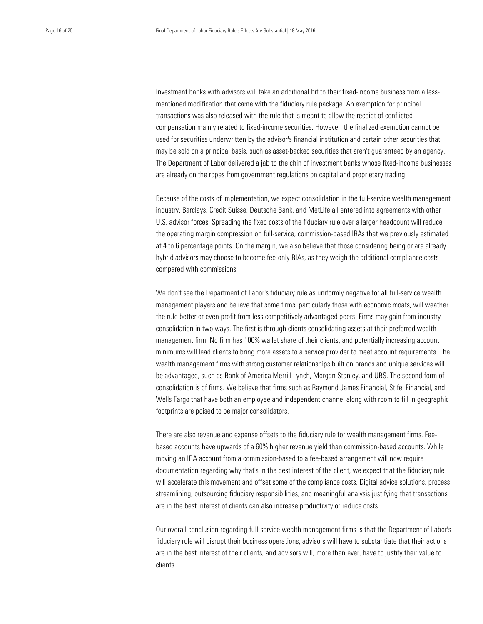Investment banks with advisors will take an additional hit to their fixed-income business from a lessmentioned modification that came with the fiduciary rule package. An exemption for principal transactions was also released with the rule that is meant to allow the receipt of conflicted compensation mainly related to fixed-income securities. However, the finalized exemption cannot be used for securities underwritten by the advisor's financial institution and certain other securities that may be sold on a principal basis, such as asset-backed securities that aren't guaranteed by an agency. The Department of Labor delivered a jab to the chin of investment banks whose fixed-income businesses are already on the ropes from government regulations on capital and proprietary trading.

Because of the costs of implementation, we expect consolidation in the full-service wealth management industry. Barclays, Credit Suisse, Deutsche Bank, and MetLife all entered into agreements with other U.S. advisor forces. Spreading the fixed costs of the fiduciary rule over a larger headcount will reduce the operating margin compression on full-service, commission-based IRAs that we previously estimated at 4 to 6 percentage points. On the margin, we also believe that those considering being or are already hybrid advisors may choose to become fee-only RIAs, as they weigh the additional compliance costs compared with commissions.

We don't see the Department of Labor's fiduciary rule as uniformly negative for all full-service wealth management players and believe that some firms, particularly those with economic moats, will weather the rule better or even profit from less competitively advantaged peers. Firms may gain from industry consolidation in two ways. The first is through clients consolidating assets at their preferred wealth management firm. No firm has 100% wallet share of their clients, and potentially increasing account minimums will lead clients to bring more assets to a service provider to meet account requirements. The wealth management firms with strong customer relationships built on brands and unique services will be advantaged, such as Bank of America Merrill Lynch, Morgan Stanley, and UBS. The second form of consolidation is of firms. We believe that firms such as Raymond James Financial, Stifel Financial, and Wells Fargo that have both an employee and independent channel along with room to fill in geographic footprints are poised to be major consolidators.

There are also revenue and expense offsets to the fiduciary rule for wealth management firms. Feebased accounts have upwards of a 60% higher revenue yield than commission-based accounts. While moving an IRA account from a commission-based to a fee-based arrangement will now require documentation regarding why that's in the best interest of the client, we expect that the fiduciary rule will accelerate this movement and offset some of the compliance costs. Digital advice solutions, process streamlining, outsourcing fiduciary responsibilities, and meaningful analysis justifying that transactions are in the best interest of clients can also increase productivity or reduce costs.

Our overall conclusion regarding full-service wealth management firms is that the Department of Labor's fiduciary rule will disrupt their business operations, advisors will have to substantiate that their actions are in the best interest of their clients, and advisors will, more than ever, have to justify their value to clients.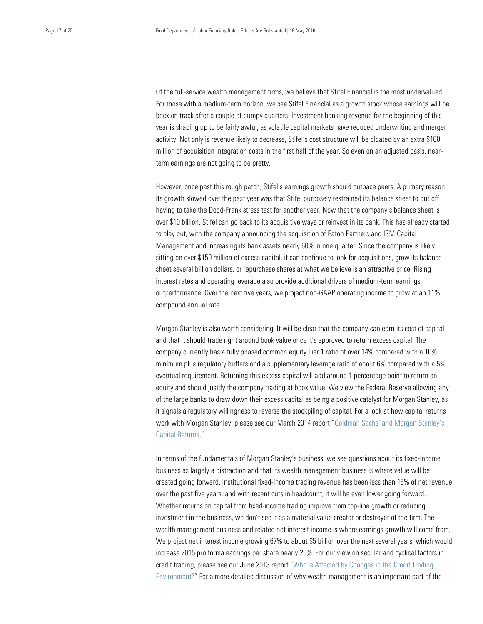Of the full-service wealth management firms, we believe that Stifel Financial is the most undervalued. For those with a medium-term horizon, we see Stifel Financial as a growth stock whose earnings will be back on track after a couple of bumpy quarters. Investment banking revenue for the beginning of this year is shaping up to be fairly awful, as volatile capital markets have reduced underwriting and merger activity. Not only is revenue likely to decrease, Stifel's cost structure will be bloated by an extra \$100 million of acquisition integration costs in the first half of the year. So even on an adjusted basis, nearterm earnings are not going to be pretty.

However, once past this rough patch, Stifel's earnings growth should outpace peers. A primary reason its growth slowed over the past year was that Stifel purposely restrained its balance sheet to put off having to take the Dodd-Frank stress test for another year. Now that the company's balance sheet is over \$10 billion, Stifel can go back to its acquisitive ways or reinvest in its bank. This has already started to play out, with the company announcing the acquisition of Eaton Partners and ISM Capital Management and increasing its bank assets nearly 60% in one quarter. Since the company is likely sitting on over \$150 million of excess capital, it can continue to look for acquisitions, grow its balance sheet several billion dollars, or repurchase shares at what we believe is an attractive price. Rising interest rates and operating leverage also provide additional drivers of medium-term earnings outperformance. Over the next five years, we project non-GAAP operating income to grow at an 11% compound annual rate.

Morgan Stanley is also worth considering. It will be clear that the company can earn its cost of capital and that it should trade right around book value once it's approved to return excess capital. The company currently has a fully phased common equity Tier 1 ratio of over 14% compared with a 10% minimum plus regulatory buffers and a supplementary leverage ratio of about 6% compared with a 5% eventual requirement. Returning this excess capital will add around 1 percentage point to return on equity and should justify the company trading at book value. We view the Federal Reserve allowing any of the large banks to draw down their excess capital as being a positive catalyst for Morgan Stanley, as it signals a regulatory willingness to reverse the stockpiling of capital. For a look at how capital returns work with Morgan Stanley, please see our March 2014 report ["Goldman Sachs' and Morgan Stanley's](http://select.morningstar.com/downloadarchive.aspx?year=2014&docid=640183&secid=&companyid=&title=Goldman+Sachs%27+and+Morgan+Stanley%27s+Capital+Returns%3a+Our+Take+on+Excess+Capital%2c+2014+CCAR+Results%2c+and+Effect+of+Capital+Returns+on+Key+Valuation+Metrics)  [Capital Returns](http://select.morningstar.com/downloadarchive.aspx?year=2014&docid=640183&secid=&companyid=&title=Goldman+Sachs%27+and+Morgan+Stanley%27s+Capital+Returns%3a+Our+Take+on+Excess+Capital%2c+2014+CCAR+Results%2c+and+Effect+of+Capital+Returns+on+Key+Valuation+Metrics)."

In terms of the fundamentals of Morgan Stanley's business, we see questions about its fixed-income business as largely a distraction and that its wealth management business is where value will be created going forward. Institutional fixed-income trading revenue has been less than 15% of net revenue over the past five years, and with recent cuts in headcount, it will be even lower going forward. Whether returns on capital from fixed-income trading improve from top-line growth or reducing investment in the business, we don't see it as a material value creator or destroyer of the firm. The wealth management business and related net interest income is where earnings growth will come from. We project net interest income growing 67% to about \$5 billion over the next several years, which would increase 2015 pro forma earnings per share nearly 20%. For our view on secular and cyclical factors in credit trading, please see our June 2013 report "[Who Is Affected by Changes in the Credit Trading](https://select.morningstar.com/downloadarchive.aspx?year=2013&docid=599367&secid=200100K67A&companyid=0C000008HA&title=Who+is+Affected+by+Changes+in+the+Credit+Trading+Environment%3f)  [Environment?](https://select.morningstar.com/downloadarchive.aspx?year=2013&docid=599367&secid=200100K67A&companyid=0C000008HA&title=Who+is+Affected+by+Changes+in+the+Credit+Trading+Environment%3f)" For a more detailed discussion of why wealth management is an important part of the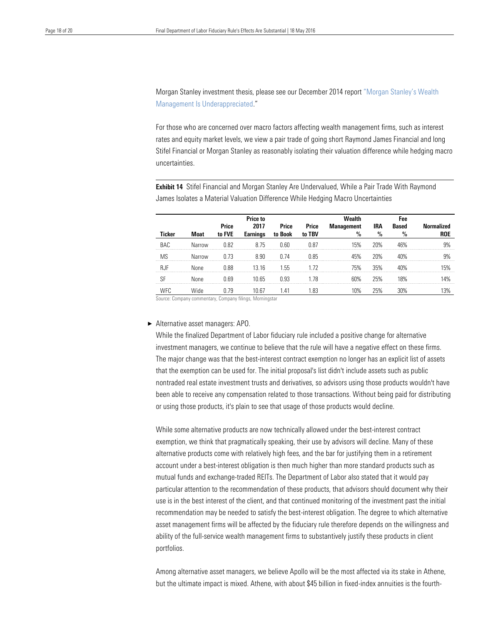Morgan Stanley investment thesis, please see our December 2014 report ["Morgan Stanley's Wealth](https://select.morningstar.com/downloadarchive.aspx?year=2014&docid=676377&secid=200100K67A&companyid=0C000008HA&title=Morgan+Stanley%27s+Wealth+Management+Is+Underappreciated%3a+Wealth+Management+and+Banking+Are+the+Key+Earnings+Drivers)  [Management Is Underappreciated](https://select.morningstar.com/downloadarchive.aspx?year=2014&docid=676377&secid=200100K67A&companyid=0C000008HA&title=Morgan+Stanley%27s+Wealth+Management+Is+Underappreciated%3a+Wealth+Management+and+Banking+Are+the+Key+Earnings+Drivers)."

For those who are concerned over macro factors affecting wealth management firms, such as interest rates and equity market levels, we view a pair trade of going short Raymond James Financial and long Stifel Financial or Morgan Stanley as reasonably isolating their valuation difference while hedging macro uncertainties.

**Exhibit 14** Stifel Financial and Morgan Stanley Are Undervalued, While a Pair Trade With Raymond James Isolates a Material Valuation Difference While Hedging Macro Uncertainties

|            |        |                 | Price to                                                  |                  |                 | Wealth                             |             | Fee           |                                 |
|------------|--------|-----------------|-----------------------------------------------------------|------------------|-----------------|------------------------------------|-------------|---------------|---------------------------------|
| Ticker     | Moat   | Price<br>to FVE | 2017<br>Earnings                                          | Price<br>to Book | Price<br>to TBV | <b>Management</b><br>$\frac{0}{0}$ | IRA<br>$\%$ | Based<br>$\%$ | <b>Normalized</b><br><b>ROE</b> |
| <b>BAC</b> | Narrow |                 | 875                                                       | N 60             |                 | 15%                                | 20%         |               | 9%                              |
| ΜS         | Narrow |                 | 8 AV                                                      |                  | N 85            |                                    | ንበ%         |               | 9%                              |
|            | None   | ገ ጸጸ            | 13 16                                                     | ს. ს.            |                 | 75%                                | 35%         |               |                                 |
|            | None   |                 | 1በ 65                                                     | ገ ባ?             |                 |                                    | 25%         | 18%           |                                 |
| WFC        | Wide   | 0.79            | 10.67<br>Course Courses resumed to Courses Clara Montered | l.41             | .83             |                                    | 25%         |               | 3%                              |

ce: Company commentary, Company filings, Mornings

▶ Alternative asset managers: APO.

While the finalized Department of Labor fiduciary rule included a positive change for alternative investment managers, we continue to believe that the rule will have a negative effect on these firms. The major change was that the best-interest contract exemption no longer has an explicit list of assets that the exemption can be used for. The initial proposal's list didn't include assets such as public nontraded real estate investment trusts and derivatives, so advisors using those products wouldn't have been able to receive any compensation related to those transactions. Without being paid for distributing or using those products, it's plain to see that usage of those products would decline.

While some alternative products are now technically allowed under the best-interest contract exemption, we think that pragmatically speaking, their use by advisors will decline. Many of these alternative products come with relatively high fees, and the bar for justifying them in a retirement account under a best-interest obligation is then much higher than more standard products such as mutual funds and exchange-traded REITs. The Department of Labor also stated that it would pay particular attention to the recommendation of these products, that advisors should document why their use is in the best interest of the client, and that continued monitoring of the investment past the initial recommendation may be needed to satisfy the best-interest obligation. The degree to which alternative asset management firms will be affected by the fiduciary rule therefore depends on the willingness and ability of the full-service wealth management firms to substantively justify these products in client portfolios.

Among alternative asset managers, we believe Apollo will be the most affected via its stake in Athene, but the ultimate impact is mixed. Athene, with about \$45 billion in fixed-index annuities is the fourth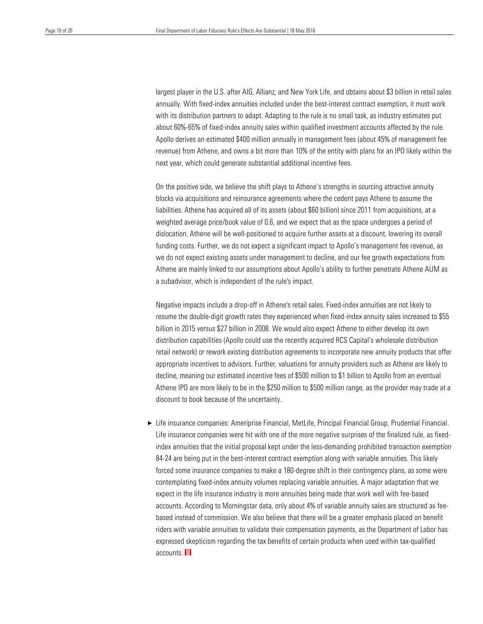largest player in the U.S. after AIG, Allianz, and New York Life, and obtains about \$3 billion in retail sales annually. With fixed-index annuities included under the best-interest contract exemption, it must work with its distribution partners to adapt. Adapting to the rule is no small task, as industry estimates put about 60%-65% of fixed-index annuity sales within qualified investment accounts affected by the rule. Apollo derives an estimated \$400 million annually in management fees (about 45% of management fee revenue) from Athene, and owns a bit more than 10% of the entity with plans for an IPO likely within the next year, which could generate substantial additional incentive fees.

On the positive side, we believe the shift plays to Athene's strengths in sourcing attractive annuity blocks via acquisitions and reinsurance agreements where the cedent pays Athene to assume the liabilities. Athene has acquired all of its assets (about \$60 billion) since 2011 from acquisitions, at a weighted average price/book value of 0.6, and we expect that as the space undergoes a period of dislocation, Athene will be well-positioned to acquire further assets at a discount, lowering its overall funding costs. Further, we do not expect a significant impact to Apollo's management fee revenue, as we do not expect existing assets under management to decline, and our fee growth expectations from Athene are mainly linked to our assumptions about Apollo's ability to further penetrate Athene AUM as a subadvisor, which is independent of the rule's impact.

Negative impacts include a drop-off in Athene's retail sales. Fixed-index annuities are not likely to resume the double-digit growth rates they experienced when fixed-index annuity sales increased to \$55 billion in 2015 versus \$27 billion in 2008. We would also expect Athene to either develop its own distribution capabilities (Apollo could use the recently acquired RCS Capital's wholesale distribution retail network) or rework existing distribution agreements to incorporate new annuity products that offer appropriate incentives to advisors. Further, valuations for annuity providers such as Athene are likely to decline, meaning our estimated incentive fees of \$500 million to \$1 billion to Apollo from an eventual Athene IPO are more likely to be in the \$250 million to \$500 million range, as the provider may trade at a discount to book because of the uncertainty.

► Life insurance companies: Ameriprise Financial, MetLife, Principal Financial Group, Prudential Financial. Life insurance companies were hit with one of the more negative surprises of the finalized rule, as fixedindex annuities that the initial proposal kept under the less-demanding prohibited transaction exemption 84-24 are being put in the best-interest contract exemption along with variable annuities. This likely forced some insurance companies to make a 180-degree shift in their contingency plans, as some were contemplating fixed-index annuity volumes replacing variable annuities. A major adaptation that we expect in the life insurance industry is more annuities being made that work well with fee-based accounts. According to Morningstar data, only about 4% of variable annuity sales are structured as feebased instead of commission. We also believe that there will be a greater emphasis placed on benefit riders with variable annuities to validate their compensation payments, as the Department of Labor has expressed skepticism regarding the tax benefits of certain products when used within tax-qualified accounts.  $M$